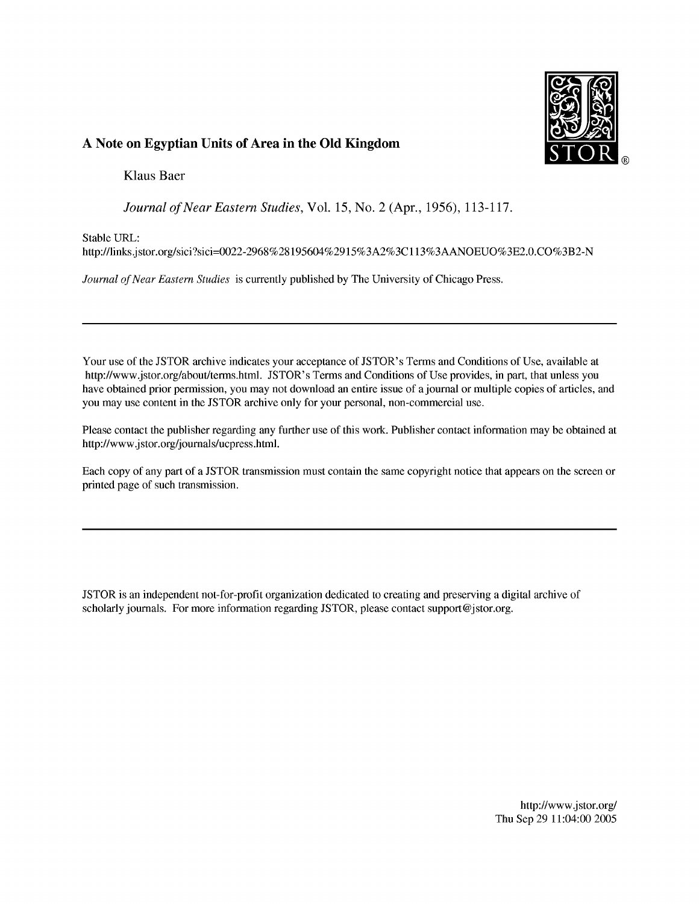

## A Note on Egyptian Units of Area in the Old Kingdom

**Klaus Baer** 

Journal of Near Eastern Studies, Vol. 15, No. 2 (Apr., 1956), 113-117.

Stable URL:

http://links.jstor.org/sici?sici=0022-2968%28195604%2915%3A2%3C113%3AANOEUO%3E2.0.CO%3B2-N

Journal of Near Eastern Studies is currently published by The University of Chicago Press.

Your use of the JSTOR archive indicates your acceptance of JSTOR's Terms and Conditions of Use, available at http://www.jstor.org/about/terms.html. JSTOR's Terms and Conditions of Use provides, in part, that unless you have obtained prior permission, you may not download an entire issue of a journal or multiple copies of articles, and you may use content in the JSTOR archive only for your personal, non-commercial use.

Please contact the publisher regarding any further use of this work. Publisher contact information may be obtained at http://www.jstor.org/journals/ucpress.html.

Each copy of any part of a JSTOR transmission must contain the same copyright notice that appears on the screen or printed page of such transmission.

JSTOR is an independent not-for-profit organization dedicated to creating and preserving a digital archive of scholarly journals. For more information regarding JSTOR, please contact support@jstor.org.

> http://www.jstor.org/ Thu Sep 29 11:04:00 2005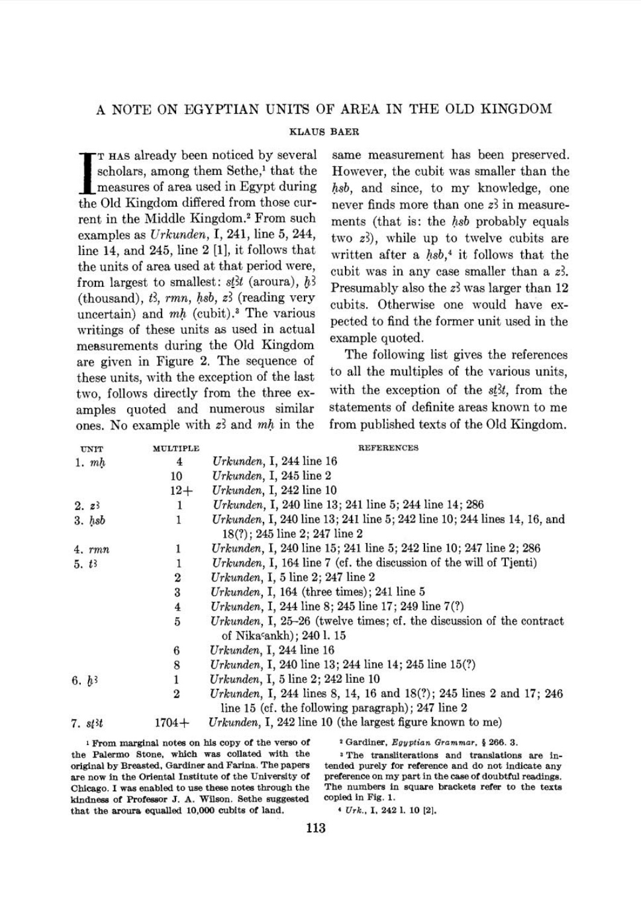## **KLAUS BAER**

TT HAS already been noticed by several<br>scholars, among them Sethe,<sup>1</sup> that the<br>measures of area used in Egypt during<br>the Old Kingdom differed from those curscholars, among them Sethe,<sup>1</sup> that the measures of area used in Egypt during the Old Kingdom differed from those current in the Middle Kingdom.<sup>2</sup> From such examples as Urkunden, I, 241, line 5, 244, line 14, and 245, line 2 [I], it follows that the units of area used at that period were, from largest to smallest:  $s \notin \mathcal{H}$  (aroura),  $\hat{b}$ 3 (thousand),  $t^2$ , rmn, hsb,  $z^2$  (reading very uncertain) and  $mh$  (cubit).<sup>3</sup> The various writings of these units as used in actual measurements during the Old Kingdom are given in Figure 2. The sequence of these units, with the exception of the last two, follows directly from the three examples quoted and numerous similar ones. No example with  $z^2$  and  $mh$  in the

same measurement has been preserved. However, the cubit was smaller than the hsb, and since, to my knowledge, one never finds more than one  $z<sup>3</sup>$  in measurements (that is: the hsb probably equals two z?), while up to twelve cubits are written after a  $hsb$ <sup>4</sup> it follows that the cubit was in any case smaller than a 23. Presumably also the  $z_2$ <sup>3</sup> was larger than 12 cubits. Otherwise one would have expected to find the former unit used in the example quoted.

The following list gives the references to all the multiples of the various units, with the exception of the  $st3t$ , from the statements of definite areas known to me from published texts of the Old Kingdom.

| <b>UNIT</b>             | MULTIPLE         | <b>REFERENCES</b>                                                                                                        |
|-------------------------|------------------|--------------------------------------------------------------------------------------------------------------------------|
| 1. m h                  | $\overline{4}$   | Urkunden, I, 244 line $16$                                                                                               |
|                         | 10               | $U$ rkunden, I, 245 line 2                                                                                               |
|                         | $12+$            | Urkunden, I, 242 line $10$                                                                                               |
| 2.23                    | 1                | Urkunden, I, 240 line 13; 241 line 5; 244 line 14; 286                                                                   |
| $3.$ $hsb$              | 1                | <i>Urkunden</i> , I, 240 line 13; 241 line 5; 242 line 10; 244 lines 14, 16, and                                         |
|                         |                  | $18(?)$ ; 245 line 2; 247 line 2                                                                                         |
| $4.$ $rmn$              |                  | Urkunden, I, 240 line 15; 241 line 5; 242 line 10; 247 line 2; 286                                                       |
| $5. t_3$                |                  | Urkunden, I, 164 line 7 (cf. the discussion of the will of Tjenti)                                                       |
|                         | 2                | Urkunden, I, 5 line $2$ ; 247 line $2$                                                                                   |
|                         | 3                | Urkunden, I, 164 (three times); 241 line $5$                                                                             |
|                         |                  | Urkunden, I, 244 line 8; 245 line 17; 249 line 7(?)                                                                      |
|                         | $\frac{4}{5}$    | Urkunden, I, $25-26$ (twelve times; cf. the discussion of the contract<br>of Nikasankh); 240 l. 15                       |
|                         | 6                | Urkunden, I, 244 line $16$                                                                                               |
|                         | 8                | Urkunden, I, 240 line 13; 244 line 14; 245 line 15(?)                                                                    |
| 6. h <sup>3</sup>       |                  | Urkunden, I, 5 line $2$ ; 242 line 10                                                                                    |
|                         | $\boldsymbol{2}$ | Urkunden, I, 244 lines 8, 14, 16 and 18(?); 245 lines 2 and 17; 246<br>line 15 (cf. the following paragraph); 247 line 2 |
| $7. s t$ <sup>3</sup> t | $1704 +$         | Urkunden, I, 242 line 10 (the largest figure known to me)                                                                |

**<sup>1</sup>From marginal notes on his copy of the verso of 2 Gardiner,** *Egyptian Grammar,* **5 266.** *3.*  the Palermo Stone, which was collated with the  $\cdot$  <sup>3</sup>The transliterations and translations are in**original by Breasted, Gardiner and Farina. The papers tended purely for reference and do not indicate any**  are now in the Oriental Institute of the University of preference on my part in the case of doubtful readings.<br>
Chicago. I was enabled to use these notes through the The numbers in square brackets refer to the texts Chicago. I was enabled to use these notes through the **kindness of Professor J. A. Wilson. Sethe suggested copied in Fig. 1.** <br>that the aroura equalled 10,000 cubits of land.  $4 \text{ Urk., I, 242 l. 10 [2]}.$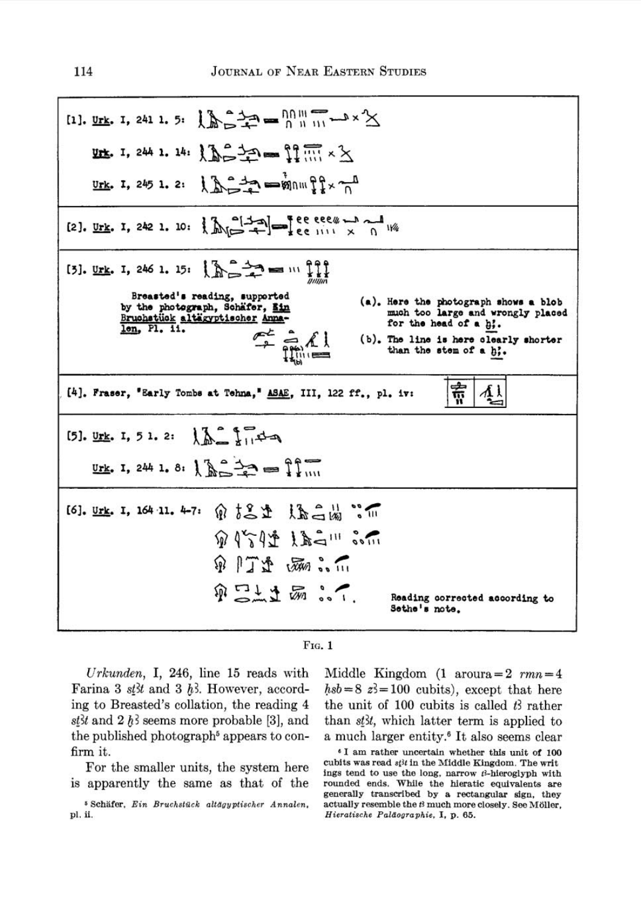[1], Urk. 1, 241 1. 5:  $\left[\sum_{m=1}^{n} \frac{1}{m} \right] = \frac{10}{m} \frac{100}{m} = x^2$  $\underline{\text{trk}}$ . 1, 244 1. 14:  $\int_{0}^{\infty} \frac{1}{2} \cdot \text{Re} \left[ \int_{0}^{\infty} \frac{1}{2} \cdot \text{Im} \left[ \int_{0}^{\infty} x \cdot \text{Im} \left[ \int_{0}^{x} x \cdot \text{Im} \left[ \int_{0}^{x} x \cdot \text{Im} \left[ \int_{0}^{x} x \cdot \text{Im} \left[ \int_{0}^{x} x \cdot \text{Im} \left[ \int_{0}^{x} x \cdot \text{Im} \left[ \int_{0}^{x} x \cdot \text{Im} \left[ \int_{0$ Urk. I, 245 1. 2:  $1 - \frac{3}{2}$  =  $\frac{3}{2}$  =  $\frac{3}{2}$  mult $\frac{3}{2}$  x  $\frac{3}{2}$ [2]. Urk. I, 242 1. 10:  $\left[\sum_{i=1}^{n} \frac{1}{i} \right]_{i}^{n} = \frac{1}{n}$  ee eee = n and 1% [3]. Urk. I, 246 1. 15:  $\sum_{n=1}^{\infty}$  =  $\frac{1}{n}$ **Brea8tad18 reading, #upparted (a). Here the photograph show a blob**  by the photograph, Schafer, <u>Bin</u><br>Bruchstück altägyptischer Amna-<br><u>len</u>, Pl. ii. <u>and</u> **much too large and wrongly placed for the head of a** *b;.*  **(b). The line is here clearly 8horber**  than **the stem of a** *b;.* - [4]. Fraser, 'Early Tombs at Tehna,' **ASAE**, III, 122 ff., pl. iv:  $\left|\frac{1}{111}\right|$  $12 - 174 - 1$ [5]. Urk. I. 5 1. 2: Urk. I, 244 1. 8:  $\sum_{i=1}^{n} a_i = 1$ [6]. Urk. I, 164 11. 4-7: 俞 to 土 上 上 二 品 。  $9951412211301$ 第1丁烯 添加 p [11 五 2 ... **Reading corrected according to Sethe's note.** 

|  | vз | - |  |
|--|----|---|--|
|  |    |   |  |

Urkunden, I, 246, line 15 reads with Farina 3 st<sup>3t</sup> and 3 h<sup>3</sup>. However, according to Breasted's collation, the reading 4 st<sup>3t</sup> and 2 h<sup>3</sup> seems more probable [3], and the published photograph<sup>5</sup> appears to confirm it.

For the smaller units, the system here is apparently the same as that of the Middle Kingdom  $(1 \text{ around} = 2 \text{ mm}) = 4$  $hsb = 8$   $z=100$  cubits), except that here the unit of 100 cubits is called  $t^3$  rather than  $s$ *t* $st$ , which latter term is applied to a much larger entity.<sup>6</sup> It also seems clear

**<sup>6</sup>**1 am rather uncertain whether this unit of 100 cubits was read  $st^{3}t$  in the Middle Kingdom. The writ ings tend to use the long, narrow  $t^2$ -hieroglyph with rounded ends. While the hieratic equivalents are generally transcribed by a rectangular sign, they actually resemble the **t!** much more closely. See Moller, Hieratische Paläographie, I, p. 65.

<sup>&</sup>lt;sup>5</sup> Schäfer, Ein Bruchstück altägyptischer Annalen, pi. **ii.**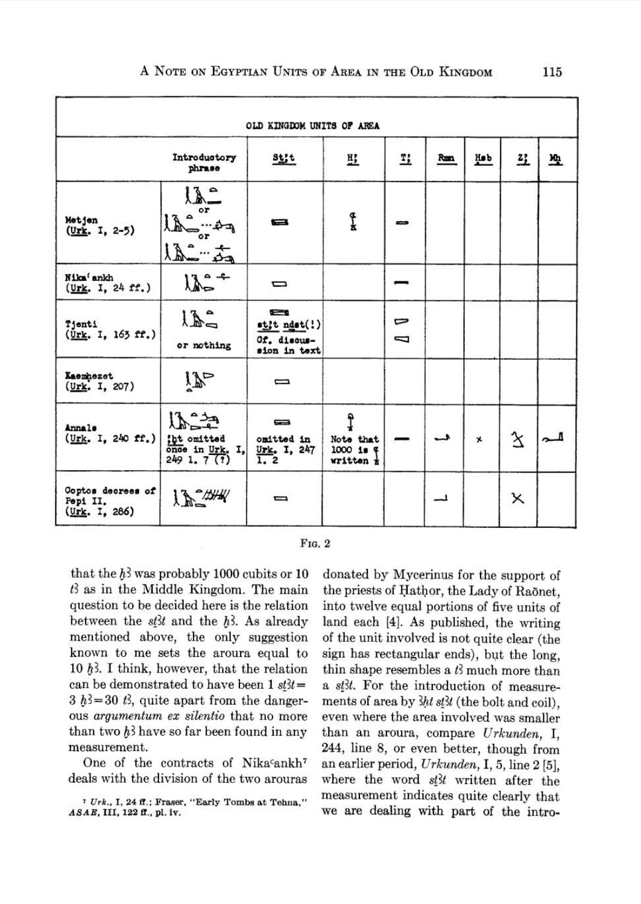|                                                        |                                                                                          | OLD KINGDOM UNITS OF AREA                                    |                                           |        |     |         |                    |   |
|--------------------------------------------------------|------------------------------------------------------------------------------------------|--------------------------------------------------------------|-------------------------------------------|--------|-----|---------|--------------------|---|
|                                                        | Introductory<br>phrase                                                                   | $rac{1}{2}$                                                  | 竪                                         | Τ,     | Rum | Hab     | 彑                  | 啞 |
| Metjen<br>$(0r$ <b>k</b> . I, 2-5)                     | $\lambda$ –<br>or<br>$\Delta$<br>Le<br>ړ دغه ۱۰۰<br>$^{\circ}$<br>م <del>دّه</del> السكه | $\equiv$                                                     | Į                                         |        |     |         |                    |   |
| Nika <sup>(</sup> ankh<br>(Urk. I, 24 ff.)             | $12 - 7$                                                                                 | ▭                                                            |                                           |        |     |         |                    |   |
| Tjenti<br>(Urk. I, 163 ff.)                            | LE<br>or nothing                                                                         | <b>SERIES</b><br>stit ndst(!)<br>Of. discus-<br>sion in text |                                           | ⊳<br>J |     |         |                    |   |
| Kaemhezet<br>(Urk. I, 207)                             | $\tilde{W}$                                                                              | $\equiv$                                                     |                                           |        |     |         |                    |   |
| <b>Annals</b><br>$(\frac{Urk}{r}, 1, 240 \text{ ff.})$ | فيشتركم<br>tht omitted<br>once in Urk. I,<br>2491.7(7)                                   | $\equiv$<br>omitted in<br>$\frac{0}{1}$ , 247                | Į<br>Note that<br>$1000 i$ #<br>written * |        |     | $\star$ | $\mathbf{\hat{x}}$ |   |
| Coptos decrees of<br>Pepi II.<br>(Urk, I, 286)         | 12244                                                                                    | ▭                                                            |                                           |        |     |         | Χ                  |   |



that the  $h^3$  was probably 1000 cubits or 10  $t<sup>3</sup>$  as in the Middle Kingdom. The main question to be decided here is the relation between the  $s\notin$  and the  $h$ <sup>3</sup>. As already mentioned above, the only suggestion known to me sets the aroura equal to 10  $h$ 3. I think, however, that the relation can be demonstrated to have been  $1 \text{ st3}t =$  $3 h^3 = 30 t^2$ , quite apart from the dangerous *argumentum ex silentio* that no more than two  $h^3$  have so far been found in any measurement.

One of the contracts of Nikacankh7 deals with the division of the two arouras

donated by Mycerinus for the support of the priests of Hathor, the Lady of Raonet, into twelve equal portions of five units of land each [4]. As published, the writing of the unit involved is not quite clear (the sign has rectangular ends), but the long. thin shape resembles a  $t_3$  much more than a st<sub>3</sub>t. For the introduction of measurements of area by  $3ht$  st $3t$  (the bolt and coil). even where the area involved was smaller than an aroura, compare Urkunden, I, 244, line 8, or even better, though from an earlier period, Urkunden, I, 5, line **2** [5], where the word  $s_{\ell}^{t}$  written after the measurement indicates quite clearly that we are dealing with part of the intro-

**<sup>7</sup>***Urk.,* **I, 24 8.; Fraser, "Early Tombs at Tehna,"**  *ASAE,* **111,122 fl., pi. iv.**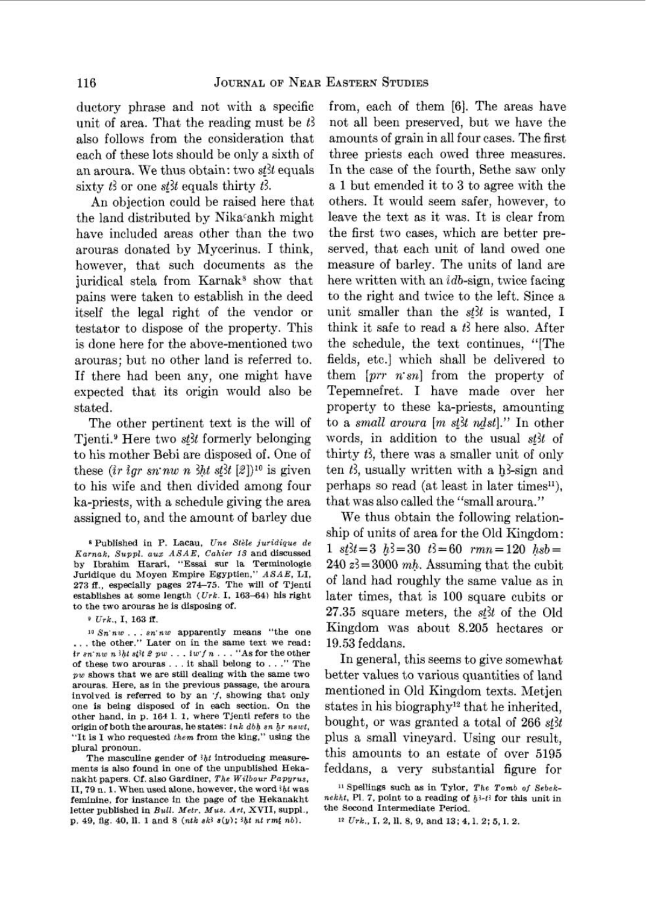ductory phrase and not with a specific from, each of them *[6].* The areas have unit of area. That the reading must be  $t^2$  not all been preserved, but we have the also follows from the consideration that amounts of grain in all four cases. The first each of these lots should be only a sixth of three priests each owed three measures. an aroura. We thus obtain: two *s(3t* equals In the case of the fourth, Sethe saw only sixty  $t_3$  or one  $s$ t *th* equals thirty  $t_3$ . a 1 but emended it to 3 to agree with the

the land distributed by Nikacankh might leave the text as it was. It is clear from have included areas other than the two the first two cases, which are better prearouras donated by Mycerinus. I think, served, that each unit of land owed one however, that such documents as the measure of barley. The units of land are juridical stela from Karnak<sup>8</sup> show that here written with an  $idb$ -sign, twice facing pains were taken to establish in the deed to the right and twice to the left. Since a itself the legal right of the vendor or unit smaller than the *s8t* is wanted, I testator to dispose of the property. This think it safe to read a *tl* here also. After is done here for the above-mentioned two the schedule, the text continues, "[The arouras; but no other land is referred to. fields, etc.] which shall be delivered to If there had been any, one might have them *[prr n'sn]* from the property of expected that its origin would also be Tepemnefret. I have made over her stated. property to these ka-priests, amounting

Tienti.<sup>9</sup> Here two *stit* formerly belonging words, in addition to the usual *stit* of to his mother Bebi are disposed of. One of thirty *t3,* there was a smaller unit of only these  $\{i \text{r} \text{ } i \text{gr} \text{ } sn \text{ } n \text{ } w \text{ } n \text{ } \}$   $\{k \}$   $\{l \}$ <sup>10</sup> is given ten *t*}, usually written with a h<sub>3</sub>-sign and to his wife and then divided among four perhaps so read (at least in later times $^{\text{II}}$ ), ka-priests, with a schedule giving the area that was also called the "small aroura." assigned to, and the amount of barley due We thus obtain the following relation-

*9 Urk.,* I, 163 **fl.** 

... the other." Later on in the same text we read: *ir*  $sin^n w$  *n 3ht si^t 3 pw ...*  $i w'f n \ldots$  "As for the other of these two arouras ... it shall belong to ..." The of these two arouras . . . it shall belong to . . ." me In general, this seems to give somewhat arouras. Here, as in the previous passage, the aroura involved is referred to by an  $\dot{\mathcal{I}}$ , showing that only arouras. Here, as in the previous passage, the aroura<br>involved is referred to by an *:*, showing that only mentioned in Old Kingdom texts. Metjen<br>one is being disposed of in each section. On the states in his biography<sup>12</sup> other hand, in p. 164 1. 1, where Tjenti refers to the origin of both the arouras, he states: ink dbh sn hr nswt, "It is I who requested *them* from the king," using the plural pronoun.

nakht papers. **Cf.** also Gardiner, *The Wilbour Papyrus,*  II,79 n. 1. When used alone, however, the word *iht* was <sup>11</sup> Spellings such as in Tylor, *The Tomb of Sebek-*<br>feminine, for instance in the page of the Hekanakht nekht, Pl. 7, point to a reading of  $b^{3-t3}$  for this unit letter published in *Bull. Metr. Mus. Art,* XVII, suppl., the Second Intermediate Period.<br>p. 49, fig. 40, ll. 1 and 8 (ntk sk<sup>3</sup> s(y); 3ht nt rmt nb). <br><sup>12</sup> Urk., I, 2, ll. 8, 9, and 13; 4, 1. 2; 5, 1. 2. p. 49, fig. 40, *ll.* 1 and 8 (ntk sk3 s(y); 3ht nt rmt nb).

An objection could be raised here that others. It would seem safer, however, to The other pertinent text is the will of to a *small aroura [m stit ndst]."* In other

ship of units of area for the Old Kingdom:  $b^240$   $z^2 = 3000$  *mh.* Assuming that the cubit later times, that is 100 square cubits or *27.35* square meters, the *s&3t* of the Old  $\frac{10 \text{ Sn} \cdot n \cdot w \cdot \ldots \cdot s n \cdot n \cdot w}{s n \cdot n \cdot w \cdot \ldots \cdot s n \cdot n \cdot w}$  apparently means "the one Kingdom was about 8.205 hectares or the other." Later on in the same text we read: 19.53 feddans.

better values to various quantities of land states in his biography<sup>12</sup> that he inherited. bought, or was granted a total of 266 sthearthcarp species a small vineyard. Using our result, pural producing measure-<br>The masculine gender of *3ht* introducing measure-<br>ments is also found in one of the unpublished Heka- feddans, a very substantial figure for

Published in P. Lacau, *Une Stele juridique de Karnak, Suppl. aux ASAE, Cahier 18 and discussed*  $1 \text{ s} \underline{t} 3t = 30 \text{ t}^2 = 30 \text{ t}^2 = 60 \text{ r} = 120 \text{ k} = 60 \text{ yr}$ <br>by Ibrahim Harari. "Essai sur la Terminologie  $240 \text{ s}^2 = 3000 \text{ m}$  Assuming that the cubit Juridique du Moyen Empire Egyptien," *ASAE,* LI, Furture and Moyen Empire Egyptien,  $A B A E$ , Li, of land had roughly the same value as in 273 ff., especially pages  $274-75$ . The will of Tjenti later times, that is 100 square cubits or to the two arouras he is disposing of.

*nekht*, Pl. 7, point to a reading of  $\hbar^{3-1}$  for this unit in the Second Intermediate Period.